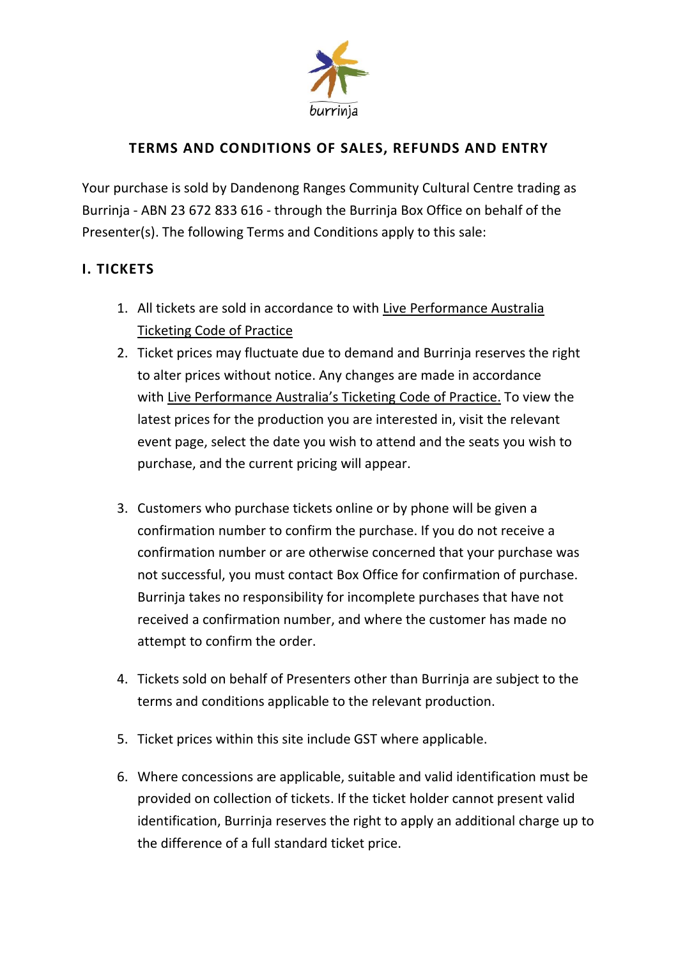

# **TERMS AND CONDITIONS OF SALES, REFUNDS AND ENTRY**

Your purchase is sold by Dandenong Ranges Community Cultural Centre trading as Burrinja - ABN 23 672 833 616 - through the Burrinja Box Office on behalf of the Presenter(s). The following Terms and Conditions apply to this sale:

### **I. TICKETS**

- 1. All tickets are sold in accordance to with Live [Performance](https://liveperformance.com.au/) Australia [Ticketing](https://liveperformance.com.au/) Code of Practice
- 2. Ticket prices may fluctuate due to demand and Burrinja reserves the right to alter prices without notice. Any changes are made in accordance with Live [Performance](https://liveperformance.com.au/wp-content/uploads/2019/01/LPA-Ticketing-Code-of-Practice-Consumer-Code-Seventh-Edition-1-October-2018.pdf) Australia's Ticketing Code of Practice. To view the latest prices for the production you are interested in, visit the relevant event page, select the date you wish to attend and the seats you wish to purchase, and the current pricing will appear.
- 3. Customers who purchase tickets online or by phone will be given a confirmation number to confirm the purchase. If you do not receive a confirmation number or are otherwise concerned that your purchase was not successful, you must contact Box Office for confirmation of purchase. Burrinja takes no responsibility for incomplete purchases that have not received a confirmation number, and where the customer has made no attempt to confirm the order.
- 4. Tickets sold on behalf of Presenters other than Burrinja are subject to the terms and conditions applicable to the relevant production.
- 5. Ticket prices within this site include GST where applicable.
- 6. Where concessions are applicable, suitable and valid identification must be provided on collection of tickets. If the ticket holder cannot present valid identification, Burrinja reserves the right to apply an additional charge up to the difference of a full standard ticket price.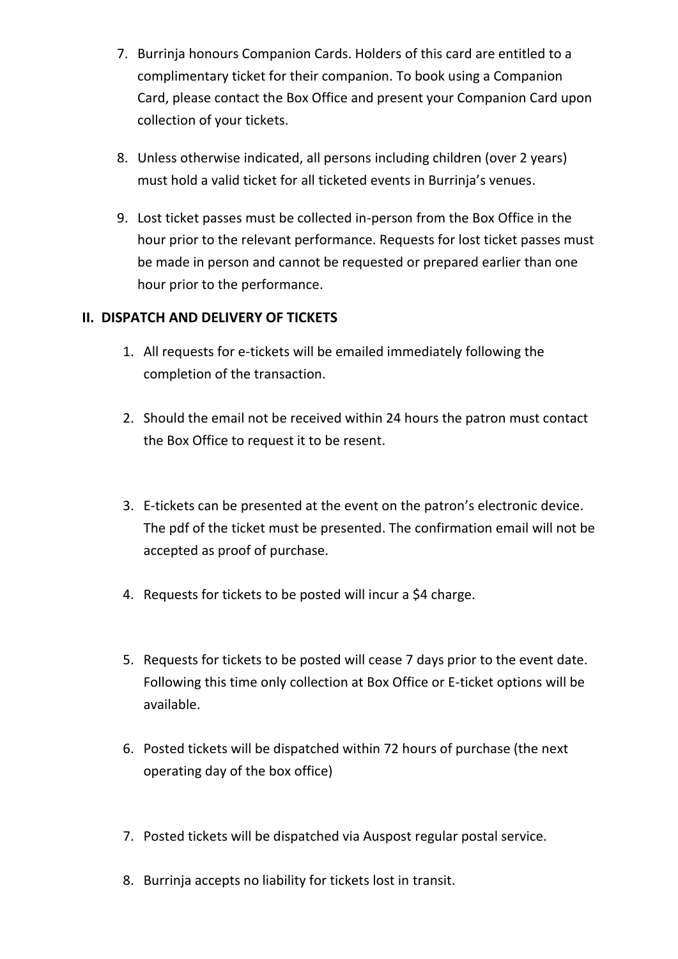- 7. Burrinja honours Companion Cards. Holders of this card are entitled to a complimentary ticket for their companion. To book using a Companion Card, please contact the Box Office and present your Companion Card upon collection of your tickets.
- 8. Unless otherwise indicated, all persons including children (over 2 years) must hold a valid ticket for all ticketed events in Burrinja's venues.
- 9. Lost ticket passes must be collected in-person from the Box Office in the hour prior to the relevant performance. Requests for lost ticket passes must be made in person and cannot be requested or prepared earlier than one hour prior to the performance.

# **II. DISPATCH AND DELIVERY OF TICKETS**

- 1. All requests for e-tickets will be emailed immediately following the completion of the transaction.
- 2. Should the email not be received within 24 hours the patron must contact the Box Office to request it to be resent.
- 3. E-tickets can be presented at the event on the patron's electronic device. The pdf of the ticket must be presented. The confirmation email will not be accepted as proof of purchase.
- 4. Requests for tickets to be posted will incur a \$4 charge.
- 5. Requests for tickets to be posted will cease 7 days prior to the event date. Following this time only collection at Box Office or E-ticket options will be available.
- 6. Posted tickets will be dispatched within 72 hours of purchase (the next operating day of the box office)
- 7. Posted tickets will be dispatched via Auspost regular postal service.
- 8. Burrinja accepts no liability for tickets lost in transit.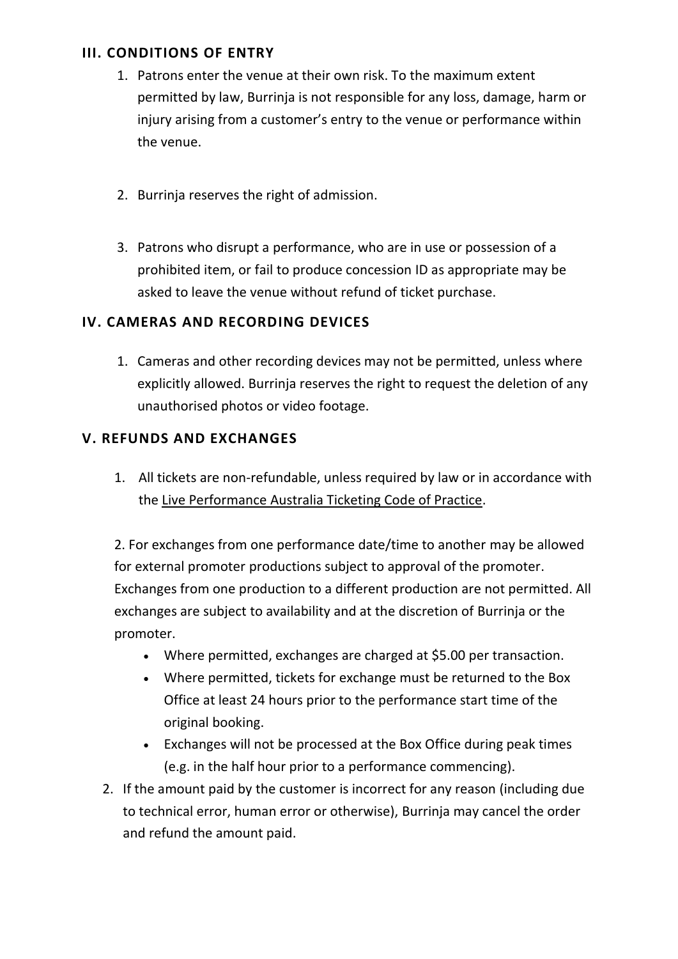### **III. CONDITIONS OF ENTRY**

- 1. Patrons enter the venue at their own risk. To the maximum extent permitted by law, Burrinja is not responsible for any loss, damage, harm or injury arising from a customer's entry to the venue or performance within the venue.
- 2. Burrinja reserves the right of admission.
- 3. Patrons who disrupt a performance, who are in use or possession of a prohibited item, or fail to produce concession ID as appropriate may be asked to leave the venue without refund of ticket purchase.

# **IV. CAMERAS AND RECORDING DEVICES**

1. Cameras and other recording devices may not be permitted, unless where explicitly allowed. Burrinja reserves the right to request the deletion of any unauthorised photos or video footage.

# **V. REFUNDS AND EXCHANGES**

1. All tickets are non-refundable, unless required by law or in accordance with the Live [Performance](https://liveperformance.com.au/) Australia Ticketing Code of Practice.

2. For exchanges from one performance date/time to another may be allowed for external promoter productions subject to approval of the promoter. Exchanges from one production to a different production are not permitted. All exchanges are subject to availability and at the discretion of Burrinja or the promoter.

- Where permitted, exchanges are charged at \$5.00 per transaction.
- Where permitted, tickets for exchange must be returned to the Box Office at least 24 hours prior to the performance start time of the original booking.
- Exchanges will not be processed at the Box Office during peak times (e.g. in the half hour prior to a performance commencing).
- 2. If the amount paid by the customer is incorrect for any reason (including due to technical error, human error or otherwise), Burrinja may cancel the order and refund the amount paid.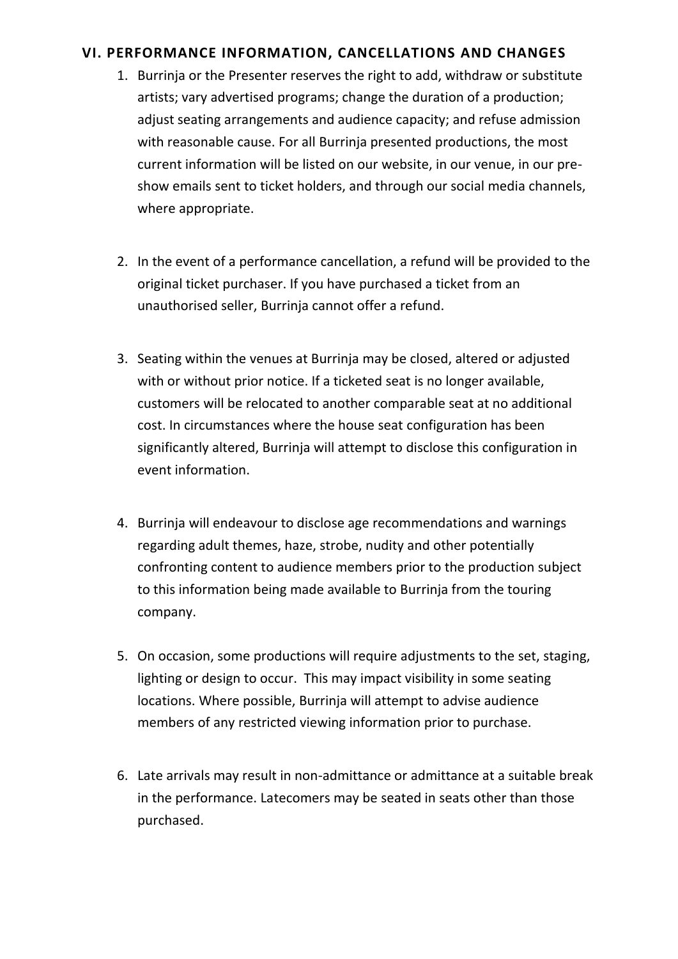### **VI. PERFORMANCE INFORMATION, CANCELLATIONS AND CHANGES**

- 1. Burrinja or the Presenter reserves the right to add, withdraw or substitute artists; vary advertised programs; change the duration of a production; adjust seating arrangements and audience capacity; and refuse admission with reasonable cause. For all Burrinja presented productions, the most current information will be listed on our website, in our venue, in our preshow emails sent to ticket holders, and through our social media channels, where appropriate.
- 2. In the event of a performance cancellation, a refund will be provided to the original ticket purchaser. If you have purchased a ticket from an unauthorised seller, Burrinja cannot offer a refund.
- 3. Seating within the venues at Burrinja may be closed, altered or adjusted with or without prior notice. If a ticketed seat is no longer available, customers will be relocated to another comparable seat at no additional cost. In circumstances where the house seat configuration has been significantly altered, Burrinja will attempt to disclose this configuration in event information.
- 4. Burrinja will endeavour to disclose age recommendations and warnings regarding adult themes, haze, strobe, nudity and other potentially confronting content to audience members prior to the production subject to this information being made available to Burrinja from the touring company.
- 5. On occasion, some productions will require adjustments to the set, staging, lighting or design to occur. This may impact visibility in some seating locations. Where possible, Burrinja will attempt to advise audience members of any restricted viewing information prior to purchase.
- 6. Late arrivals may result in non-admittance or admittance at a suitable break in the performance. Latecomers may be seated in seats other than those purchased.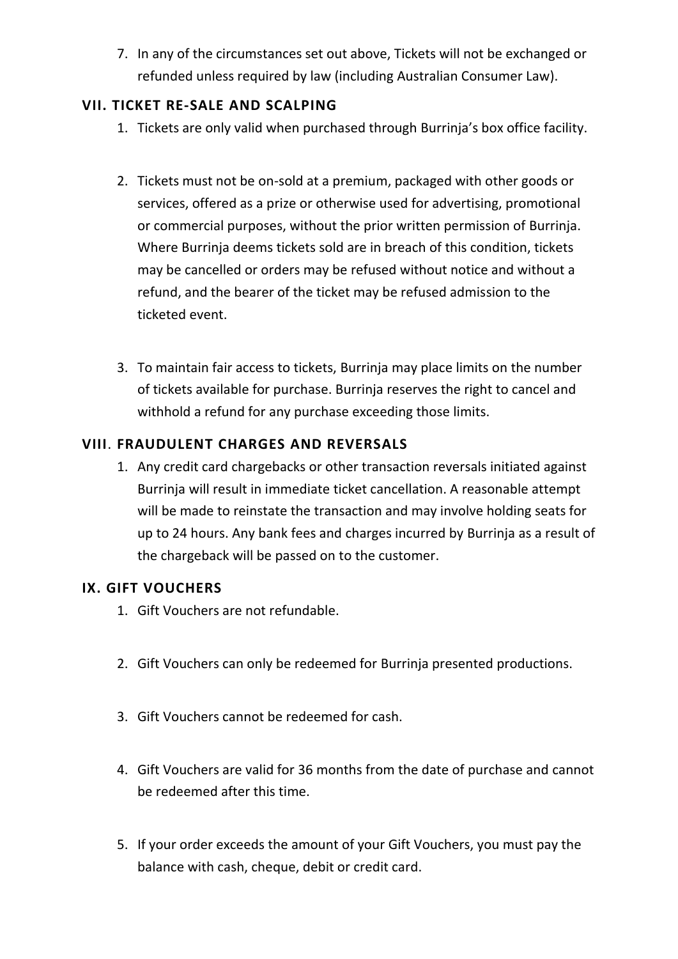7. In any of the circumstances set out above, Tickets will not be exchanged or refunded unless required by law (including Australian Consumer Law).

### **VII. TICKET RE-SALE AND SCALPING**

- 1. Tickets are only valid when purchased through Burrinja's box office facility.
- 2. Tickets must not be on-sold at a premium, packaged with other goods or services, offered as a prize or otherwise used for advertising, promotional or commercial purposes, without the prior written permission of Burrinja. Where Burrinja deems tickets sold are in breach of this condition, tickets may be cancelled or orders may be refused without notice and without a refund, and the bearer of the ticket may be refused admission to the ticketed event.
- 3. To maintain fair access to tickets, Burrinja may place limits on the number of tickets available for purchase. Burrinja reserves the right to cancel and withhold a refund for any purchase exceeding those limits.

# **VIII**. **FRAUDULENT CHARGES AND REVERSALS**

1. Any credit card chargebacks or other transaction reversals initiated against Burrinja will result in immediate ticket cancellation. A reasonable attempt will be made to reinstate the transaction and may involve holding seats for up to 24 hours. Any bank fees and charges incurred by Burrinja as a result of the chargeback will be passed on to the customer.

#### **IX. GIFT VOUCHERS**

- 1. Gift Vouchers are not refundable.
- 2. Gift Vouchers can only be redeemed for Burrinja presented productions.
- 3. Gift Vouchers cannot be redeemed for cash.
- 4. Gift Vouchers are valid for 36 months from the date of purchase and cannot be redeemed after this time.
- 5. If your order exceeds the amount of your Gift Vouchers, you must pay the balance with cash, cheque, debit or credit card.